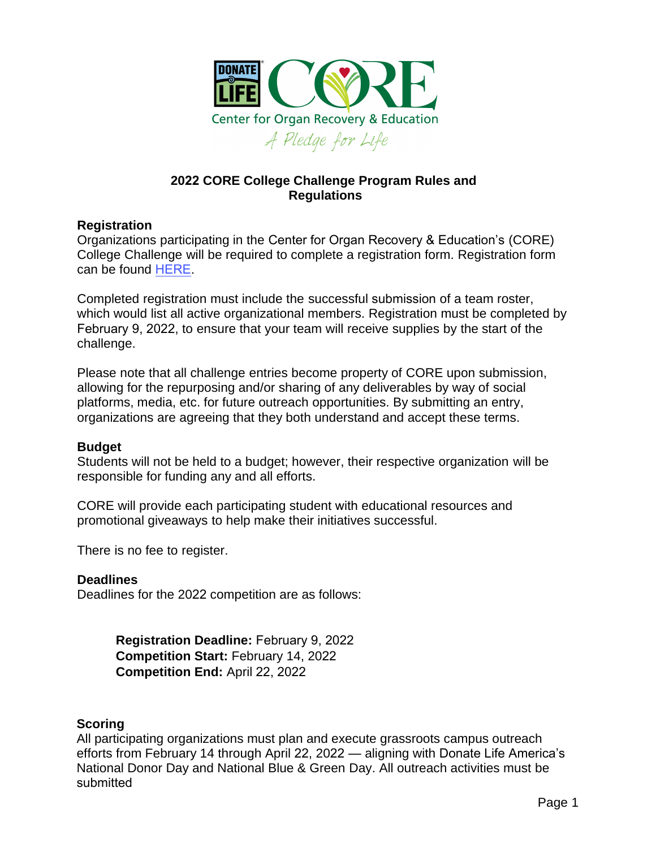

# **2022 CORE College Challenge Program Rules and Regulations**

### **Registration**

Organizations participating in the Center for Organ Recovery & Education's (CORE) College Challenge will be required to complete a registration form. Registration form can be found [HERE.](https://forms.office.com/Pages/ResponsePage.aspx?id=U0QE0ktDdUuBRhoLYqATHNaK8-bNQuFMhVLbXGEmo2pUNkxCN1YzWko1R1FVN043UFlJS1BDU1IxRC4u)

Completed registration must include the successful submission of a team roster, which would list all active organizational members. Registration must be completed by February 9, 2022, to ensure that your team will receive supplies by the start of the challenge.

Please note that all challenge entries become property of CORE upon submission, allowing for the repurposing and/or sharing of any deliverables by way of social platforms, media, etc. for future outreach opportunities. By submitting an entry, organizations are agreeing that they both understand and accept these terms.

### **Budget**

Students will not be held to a budget; however, their respective organization will be responsible for funding any and all efforts.

CORE will provide each participating student with educational resources and promotional giveaways to help make their initiatives successful.

There is no fee to register.

### **Deadlines**

Deadlines for the 2022 competition are as follows:

**Registration Deadline:** February 9, 2022 **Competition Start:** February 14, 2022 **Competition End:** April 22, 2022

### **Scoring**

All participating organizations must plan and execute grassroots campus outreach efforts from February 14 through April 22, 2022 — aligning with Donate Life America's National Donor Day and National Blue & Green Day. All outreach activities must be submitted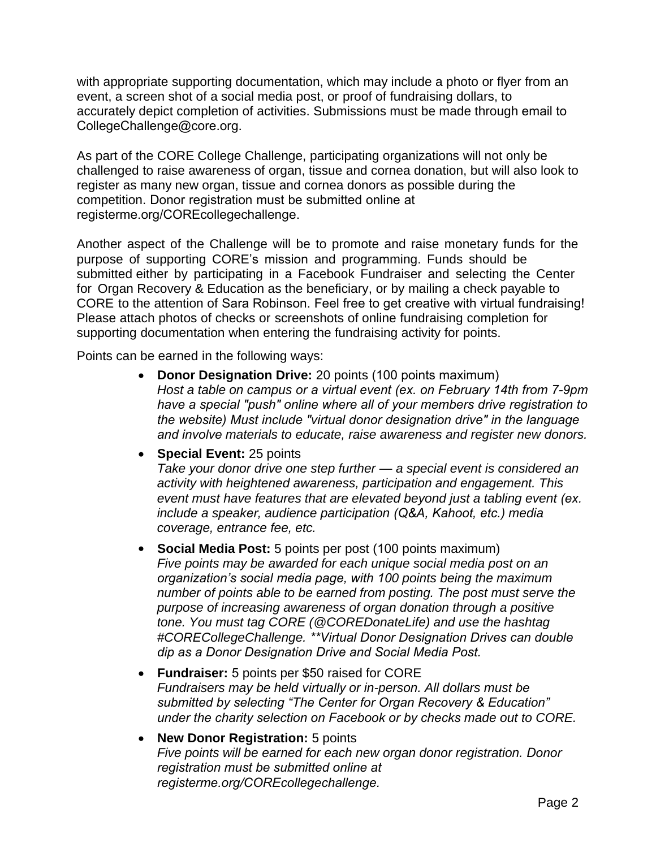with appropriate supporting documentation, which may include a photo or flyer from an event, a screen shot of a social media post, or proof of fundraising dollars, to accurately depict completion of activities. Submissions must be made through email to CollegeChallenge@core.org.

As part of the CORE College Challenge, participating organizations will not only be challenged to raise awareness of organ, tissue and cornea donation, but will also look to register as many new organ, tissue and cornea donors as possible during the competition. Donor registration must be submitted online at registerme.org/COREcollegechallenge.

Another aspect of the Challenge will be to promote and raise monetary funds for the purpose of supporting CORE's mission and programming. Funds should be submitted either by participating in a Facebook Fundraiser and selecting the Center for Organ Recovery & Education as the beneficiary, or by mailing a check payable to CORE to the attention of Sara Robinson. Feel free to get creative with virtual fundraising! Please attach photos of checks or screenshots of online fundraising completion for supporting documentation when entering the fundraising activity for points.

Points can be earned in the following ways:

- **Donor Designation Drive:** 20 points (100 points maximum) *Host a table on campus or a virtual event (ex. on February 14th from 7-9pm have a special "push" online where all of your members drive registration to the website) Must include "virtual donor designation drive" in the language and involve materials to educate, raise awareness and register new donors.*
- **Special Event:** 25 points *Take your donor drive one step further — a special event is considered an activity with heightened awareness, participation and engagement. This event must have features that are elevated beyond just a tabling event (ex. include a speaker, audience participation (Q&A, Kahoot, etc.) media coverage, entrance fee, etc.*
- **Social Media Post:** 5 points per post (100 points maximum) *Five points may be awarded for each unique social media post on an organization's social media page, with 100 points being the maximum number of points able to be earned from posting. The post must serve the purpose of increasing awareness of organ donation through a positive tone. You must tag CORE (@COREDonateLife) and use the hashtag #CORECollegeChallenge. \*\*Virtual Donor Designation Drives can double dip as a Donor Designation Drive and Social Media Post.*
- **Fundraiser:** 5 points per \$50 raised for CORE *Fundraisers may be held virtually or in-person. All dollars must be submitted by selecting "The Center for Organ Recovery & Education" under the charity selection on Facebook or by checks made out to CORE.*
- **New Donor Registration:** 5 points *Five points will be earned for each new organ donor registration. Donor registration must be submitted online at registerme.org/COREcollegechallenge.*